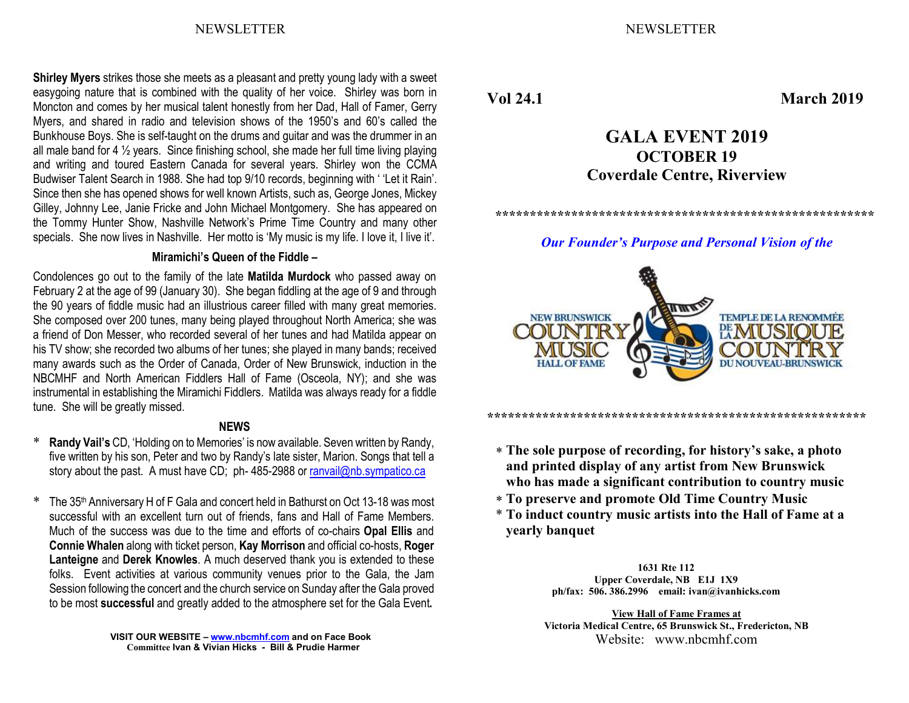NEWSLETTER NEWSLETTER

Shirley Myers strikes those she meets as a pleasant and pretty young lady with a sweet easygoing nature that is combined with the quality of her voice. Shirley was born in Moncton and comes by her musical talent honestly from her Dad, Hall of Famer, Gerry Myers, and shared in radio and television shows of the 1950's and 60's called the Bunkhouse Boys. She is self-taught on the drums and guitar and was the drummer in an all male band for 4 ½ years. Since finishing school, she made her full time living playing and writing and toured Eastern Canada for several years. Shirley won the CCMA Budwiser Talent Search in 1988. She had top 9/10 records, beginning with ' 'Let it Rain'. Since then she has opened shows for well known Artists, such as, George Jones, Mickey Gilley, Johnny Lee, Janie Fricke and John Michael Montgomery. She has appeared on the Tommy Hunter Show, Nashville Network's Prime Time Country and many other specials. She now lives in Nashville. Her motto is 'My music is my life. I love it, I live it'.

#### Miramichi's Queen of the Fiddle –

Condolences go out to the family of the late Matilda Murdock who passed away on February 2 at the age of 99 (January 30). She began fiddling at the age of 9 and through the 90 years of fiddle music had an illustrious career filled with many great memories. She composed over 200 tunes, many being played throughout North America; she was a friend of Don Messer, who recorded several of her tunes and had Matilda appear on his TV show; she recorded two albums of her tunes; she played in many bands; received many awards such as the Order of Canada, Order of New Brunswick, induction in the NBCMHF and North American Fiddlers Hall of Fame (Osceola, NY); and she was instrumental in establishing the Miramichi Fiddlers. Matilda was always ready for a fiddle tune. She will be greatly missed.

### **NEWS**

- \* Randy Vail's CD, 'Holding on to Memories' is now available. Seven written by Randy, five written by his son, Peter and two by Randy's late sister, Marion. Songs that tell a story about the past. A must have CD; ph- 485-2988 or ranvail@nb.sympatico.ca
- \* The 35th Anniversary H of F Gala and concert held in Bathurst on Oct 13-18 was most successful with an excellent turn out of friends, fans and Hall of Fame Members. Much of the success was due to the time and efforts of co-chairs Opal Ellis and Connie Whalen along with ticket person, Kay Morrison and official co-hosts, Roger Lanteigne and Derek Knowles. A much deserved thank you is extended to these folks. Event activities at various community venues prior to the Gala, the Jam Session following the concert and the church service on Sunday after the Gala proved to be most successful and greatly added to the atmosphere set for the Gala Event.

Vol 24.1 March 2019

# GALA EVENT 2019 OCTOBER 19 Coverdale Centre, Riverview

\*\*\*\*\*\*\*\*\*\*\*\*\*\*\*\*\*\*\*\*\*\*\*\*\*\*\*\*\*\*\*\*\*\*\*\*\*\*\*\*\*\*\*\*\*\*\*\*\*\*\*\*\*\*\*

Our Founder's Purpose and Personal Vision of the



\*\*\*\*\*\*\*\*\*\*\*\*\*\*\*\*\*\*\*\*\*\*\*\*\*\*\*\*\*\*\*\*\*\*\*\*\*\*\*\*\*\*\*\*\*\*\*\*\*\*\*\*\*\*\*

- The sole purpose of recording, for history's sake, a photo and printed display of any artist from New Brunswick who has made a significant contribution to country music
- To preserve and promote Old Time Country Music
- \* To induct country music artists into the Hall of Fame at a yearly banquet

1631 Rte 112 Upper Coverdale, NB E1J 1X9 ph/fax: 506. 386.2996 email: ivan@ivanhicks.com

View Hall of Fame Frames at Victoria Medical Centre, 65 Brunswick St., Fredericton, NB Website: www.nbcmhf.com